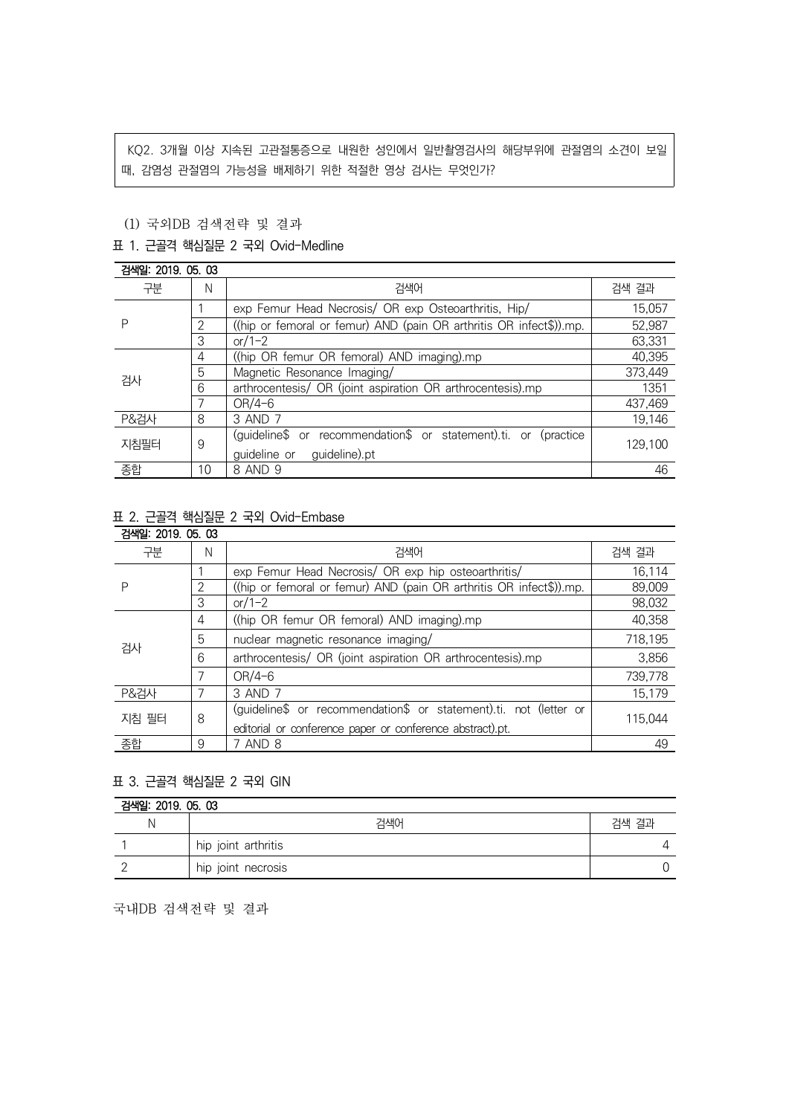KQ2. 3개월 이상 지속된 고관절통증으로 내원한 성인에서 일반촬영검사의 해당부위에 관절염의 소견이 보일 때, 감염성 관절염의 가능성을 배제하기 위한 적절한 영상 검사는 무엇인가?

## (1) 국외DB 검색전략 및 결과

### 표 1. 근골격 핵심질문 2 국외 Ovid-Medline

| 검색일: 2019, 05, 03 |    |                                                                     |         |
|-------------------|----|---------------------------------------------------------------------|---------|
| 구분                | N  | 검색어                                                                 | 검색 결과   |
| Ρ                 |    | exp Femur Head Necrosis/ OR exp Osteoarthritis, Hip/                | 15,057  |
|                   |    | ((hip or femoral or femur) AND (pain OR arthritis OR infect\$)).mp. | 52,987  |
|                   | 3  | $or/1-2$                                                            | 63,331  |
| 검사                | 4  | ((hip OR femur OR femoral) AND imaging).mp                          | 40,395  |
|                   | 5  | Magnetic Resonance Imaging/                                         | 373,449 |
|                   | 6  | arthrocentesis/ OR (joint aspiration OR arthrocentesis).mp          | 1351    |
|                   |    | $OR/4-6$                                                            | 437,469 |
| <b>P&amp;검사</b>   | 8  | 3 AND 7                                                             | 19,146  |
| 지침필터              | 9  | (quideline\$ or recommendation\$ or statement).ti. or (practice     | 129,100 |
|                   |    | guideline).pt<br>guideline or                                       |         |
| 종합                | 10 | 8 AND 9                                                             | 46      |

# 표 2. 근골격 핵심질문 2 국외 Ovid-Embase

| 검색일: 2019, 05, 03 |   |                                                                     |         |  |
|-------------------|---|---------------------------------------------------------------------|---------|--|
| 구분                | N | 검색어                                                                 | 검색 결과   |  |
|                   |   | exp Femur Head Necrosis/ OR exp hip osteoarthritis/                 | 16.114  |  |
|                   | ◠ | ((hip or femoral or femur) AND (pain OR arthritis OR infect\$)).mp. | 89,009  |  |
|                   | 3 | $or/1-2$                                                            | 98,032  |  |
| 검사                | 4 | ((hip OR femur OR femoral) AND imaging).mp                          | 40,358  |  |
|                   | 5 | nuclear magnetic resonance imaging/                                 | 718,195 |  |
|                   | 6 | arthrocentesis/ OR (joint aspiration OR arthrocentesis).mp          | 3,856   |  |
|                   | 7 | $OR/4-6$                                                            | 739.778 |  |
| <b>P&amp;검사</b>   |   | 3 AND 7                                                             | 15,179  |  |
| 지침 필터             | 8 | (guideline\$ or recommendation\$ or statement).ti. not (letter or   | 115.044 |  |
|                   |   | editorial or conference paper or conference abstract).pt.           |         |  |
| 종합                | 9 | 7 AND 8                                                             | 49      |  |

### 표 3. 근골격 핵심질문 2 국외 GIN

| 검색일: 2019, 05, 03 |                     |       |  |  |
|-------------------|---------------------|-------|--|--|
|                   | 검색어                 | 검색 결과 |  |  |
|                   | hip joint arthritis |       |  |  |
|                   | hip joint necrosis  |       |  |  |

국내DB 검색전략 및 결과